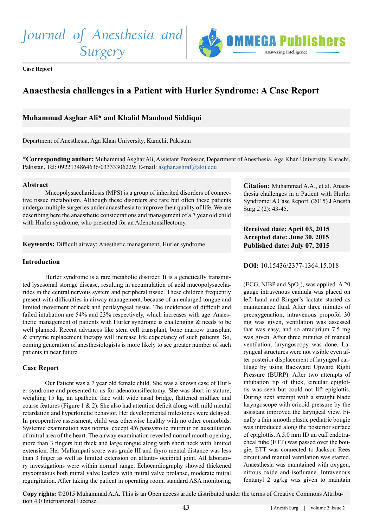*Journal of Anesthesia and* 

*Surgery*



**Case Report** 

# **Anaesthesia challenges in a Patient with Hurler Syndrome: A Case Report**

# **Muhammad Asghar Ali\* and Khalid Maudood Siddiqui**

Department of Anesthesia, Aga Khan University, Karachi, Pakistan

**\*Corresponding author:** Muhammad Asghar Ali, Assistant Professor, Department of Anesthesia, Aga Khan University, Karachi, Pakistan, Tel: 0922134864636/03333306229; E-mail: asghar.ashraf@aku.edu

#### **Abstract**

Mucopolysaccharidosis (MPS) is a group of inherited disorders of connective tissue metabolism. Although these disorders are rare but often these patients undergo multiple surgeries under anaesthesia to improve their quality of life. We are describing here the anaesthetic considerations and management of a 7 year old child with Hurler syndrome, who presented for an Adenotonsillectomy.

**Keywords:** Difficult airway; Anesthetic management; Hurler syndrome

#### **Introduction**

Hurler syndrome is a rare metabolic disorder. It is a genetically transmitted lysosomal storage disease, resulting in accumulation of acid mucopolysaccharides in the central nervous system and peripheral tissue. These children frequently present with difficulties in airway management, because of an enlarged tongue and limited movement of neck and perilayngeal tissue. The incidences of difficult and failed intubation are 54% and 23% respectively, which increases with age. Anaesthetic management of patients with Hurler syndrome is challenging & needs to be well planned. Recent advances like stem cell transplant, bone marrow transplant & enzyme replacement therapy will increase life expectancy of such patients. So, coming generation of anesthesiologists is more likely to see greater number of such patients in near future.

## **Case Report**

Our Patient was a 7 year old female child. She was a known case of Hurler syndrome and presented to us for adenotonsillectomy. She was short in stature, weighing 15 kg, an apathetic face with wide nasal bridge, flattened midface and coarse features (Figure 1  $\&$  2). She also had attention deficit along with mild mental retardation and hyperkinetic behavior. Her developmental milestones were delayed. In preoperative assessment, child was otherwise healthy with no other comorbids. Systemic examination was normal except 4/6 pansystolic murmur on auscultation of mitral area of the heart. The airway examination revealed normal mouth opening, more than 3 fingers but thick and large tongue along with short neck with limited extension. Her Mallampati score was grade III and thyro mental distance was less than 3 finger as well as limited extension on atlanto- occipital joint. All laboratory investigations were within normal range. Echocardiography showed thickened myxomatous both mitral valve leaflets with mitral valve prolapse, moderate mitral regurgitation. After taking the patient in operating room, standard ASA monitoring **Citation:** Muhammad A.A., et al. Anaesthesia challenges in a Patient with Hurler Syndrome: A Case Report. (2015) J Anesth Surg 2 (2): 43-45.

# **Received date: April 03, 2015 Accepted date: June 30, 2015 Published date: July 07, 2015**

**DOI:** [10.15436/2377-1364.15.01](http://www.dx.doi.org/10.15436/2377-1364.15.018)8

(ECG, NIBP and  $SpO<sub>2</sub>$ ), was applied. A 20 gauge intravenous cannula was placed on left hand and Ringer's lactate started as maintenance fluid. After three minutes of preoxygenation, intravenous propofol 30 mg was given, ventilation was assessed that was easy, and so atracurium 7.5 mg was given. After three minutes of manual ventilation, laryngoscopy was done. Laryngeal structures were not visible even after posterior displacement of laryngeal cartilage by using Backward Upward Right Pressure (BURP). After two attempts of intubation tip of thick, circular epiglottis was seen but could not lift epiglottis. During next attempt with a straight blade laryngoscope with cricoid pressure by the assistant improved the laryngeal view. Finally a thin smooth plastic pediatric bougie was introduced along the posterior surface of epiglottis. A 5.0 mm ID un cuff endotracheal tube (ETT) was passed over the bougie, ETT was connected to Jackson Rees circuit and manual ventilation was started. Anaesthesia was maintained with oxygen, nitrous oxide and isoflurane. Intravenous fentanyl 2 ug/kg was given to maintain

**Copy rights:** ©2015 Muhammad A.A. This is an Open access article distributed under the terms of Creative Commons Attribution 4.0 International License.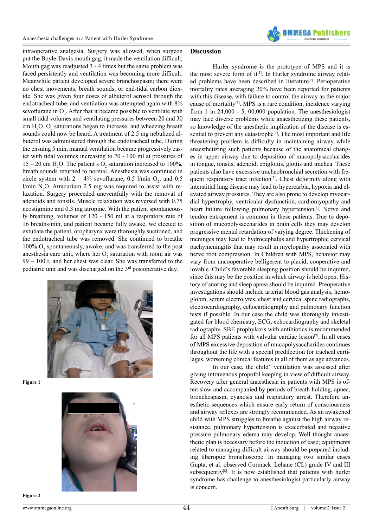

intraoperative analgesia. Surgery was allowed, when surgeon put the Boyle-Davis mouth gag, it made the ventilation difficult, Mouth gag was readjusted 3 - 4 times but the same problem was faced persistently and ventilation was becoming more difficult. Meanwhile patient developed severe bronchospasm; there were no chest movements, breath sounds, or end-tidal carbon dioxide. She was given four doses of albuterol aerosol through the endotracheal tube, and ventilation was attempted again with 8% sevoflurane in  $O_2$ . After that it became possible to ventilate with small tidal volumes and ventilating pressures between 20 and 30 cm  $H_2O$ .  $O_2$  saturations began to increase, and wheezing breath sounds could now be heard. A treatment of 2.5 mg nebulized albuterol was administered through the endotracheal tube. During the ensuing 5 min, manual ventilation became progressively easier with tidal volumes increasing to 70 - 100 ml at pressures of  $15 - 20$  cm H<sub>2</sub>O. The patient's O<sub>2</sub> saturation increased to 100%, breath sounds returned to normal. Anesthesia was continued in circle system with  $2 - 4\%$  sevoflurane, 0.5 l/min  $O_2$ , and 0.5  $1/min N<sub>2</sub>O$ . Atracurium 2.5 mg was required to assist with relaxation. Surgery proceeded uneventfully with the removal of adenoids and tonsils. Muscle relaxation was reversed with 0.75 neostigmine and 0.3 mg atropine. With the patient spontaneously breathing, volumes of 120 - 150 ml at a respiratory rate of 16 breaths/min, and patient became fully awake, we elected to extubate the patient, oropharynx were thoroughly suctioned, and the endotracheal tube was removed. She continued to breathe  $100\%$   $\mathrm{O}_2$  spontaneously, a<br>woke, and was transferred to the post anesthesia care unit, where her  $O_2$  saturation with room air was 99 – 100% and her chest was clear. She was transferred to the pediatric unit and was discharged on the 3rd postoperative day.



**Figure 1**



#### **Discussion**

Hurler syndrome is the prototype of MPS and it is the most severe form of it<sup>[\[1\]](#page-2-0)</sup>. In Hurler syndrome airway relat-ed problems have been described in literature<sup>[\[2\]](#page-2-1)</sup>. Perioperative mortality rates averaging 20% have been reported for patients with this disease, with failure to control the airway as the major cause of mortality<sup>[3]</sup>. MPS is a rare condition, incidence varying from 1 in 24,000 - 5, 00,000 population. The anesthesiologist may face diverse problems while anaesthetizing these patients, so knowledge of the anesthetic implication of the disease is es-sential to prevent any catastrophe<sup>[\[4\]](#page-2-3)</sup>. The most important and life threatening problem is difficulty in maintaining airway while anaesthetizing such patients because of the anatomical changes in upper airway due to deposition of mucopolysaccharides in tongue, tonsils, adenoid, epiglottis, glottis and trachea. These patients also have excessive tracheobronchial secretion with frequent respiratory tract infection<sup>[5]</sup>. Chest deformity along with interstitial lung disease may lead to hypercarbia, hypoxia and elevated airway pressures. They are also prone to develop myocardial hypertrophy, ventricular dysfunction, cardiomyopathy and heart failure following pulmonary hypertension<sup>[\[6\]](#page-2-5)</sup>. Nerve and tendon entrapment is common in these patients. Due to deposition of mucopolysaccharides in brain cells they may develop progressive mental retardation of varying degree. Thickening of meninges may lead to hydrocephalus and hypertrophic cervical pachymeningitis that may result in myelopathy associated with nerve root compression. In Children with MPS, behavior may vary from uncooperative belligerent to placid, cooperative and lovable. Child's favorable sleeping position should be inquired, since this may be the position in which airway is held open. History of snoring and sleep apnea should be inquired. Preoperative investigations should include arterial blood gas analysis, hemoglobin, serum electrolytes, chest and cervical spine radiographs, electrocardiography, echocardiography and pulmonary function tests if possible. In our case the child was thoroughly investigated for blood chemistry, ECG, echocardiography and skeletal radiography. SBE prophylaxis with antibiotics is recommended for all MPS patients with valvular cardiac lesion<sup>[7]</sup>. In all cases of MPS excessive deposition of mucopolysaccharides continues throughout the life with a special predilection for tracheal cartilages, worsening clinical features in all of them as age advances.

In our case, the child" ventilation was assessed after giving intravenous propofol keeping in view of difficult airway. Recovery after general anaesthesia in patients with MPS is often slow and accompanied by periods of breath holding, apnea, bronchospasm, cyanosis and respiratory arrest. Therefore anesthetic sequences which ensure early return of consciousness and airway reflexes are strongly recommended. As an awakened child with MPS struggles to breathe against the high airway resistance, pulmonary hypertension is exacerbated and negative pressure pulmonary edema may develop. Well thought anaesthetic plan is necessary before the induction of case; equipments related to managing difficult airway should be prepared including fiberoptic bronchoscope. In managing two similar cases Gupta, et al. observed Cormack–Lehane (CL) grade IV and III subsequently<sup>[\[8\]](#page-2-7)</sup>. It is now established that patients with hurler syndrome has challenge to anesthesiologist particularly airway is concern.